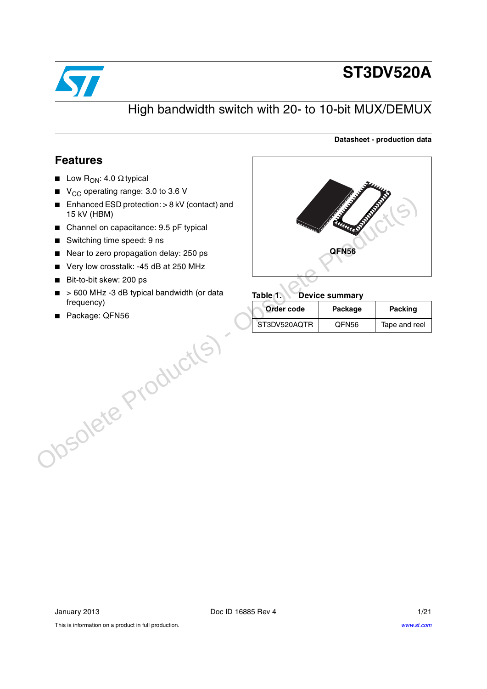

# **ST3DV520A**

**Datasheet - production data**

### High bandwidth switch with 20- to 10-bit MUX/DEMUX

### **Features**

- **■** Low  $R_{ON}$ : 4.0  $\Omega$  typical
- $\blacksquare$  V<sub>CC</sub> operating range: 3.0 to 3.6 V
- Enhanced ESD protection: > 8 kV (contact) and 15 kV (HBM)
- Channel on capacitance: 9.5 pF typical
- Switching time speed: 9 ns
- Near to zero propagation delay: 250 ps
- Very low crosstalk: -45 dB at 250 MHz
- Bit-to-bit skew: 200 ps
- > 600 MHz -3 dB typical bandwidth (or data frequency)
- Package: QFN56



#### **Table 1. Device summary**

| Order code   | Package           | <b>Packing</b> |
|--------------|-------------------|----------------|
| ST3DV520AQTR | QFN <sub>56</sub> | Tape and reel  |

This is information on a product in full production.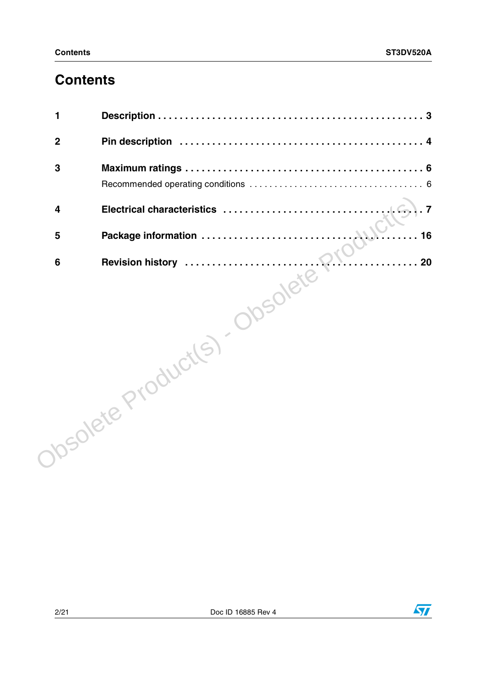# **Contents**

| 1                       |                                                                   |
|-------------------------|-------------------------------------------------------------------|
| $\boldsymbol{2}$        |                                                                   |
| 3                       |                                                                   |
|                         |                                                                   |
| $\overline{\mathbf{4}}$ | .7<br>Electrical characteristics                                  |
| 5                       | 16                                                                |
|                         | Package information<br>Revision history<br>Revision history<br>20 |
|                         | Josolete Production - Obsolete                                    |

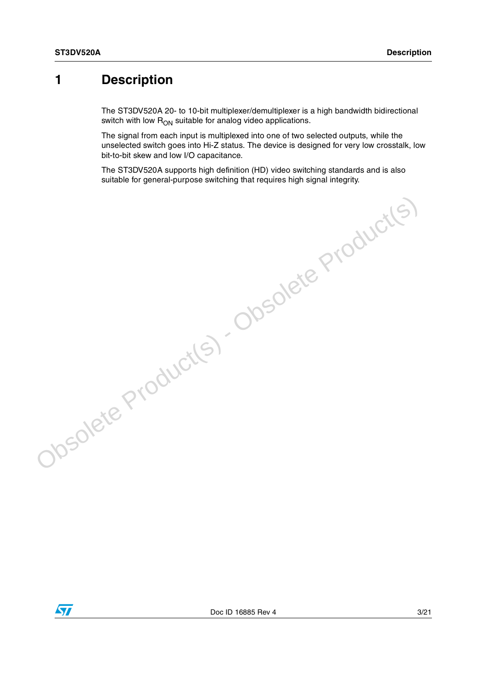### <span id="page-2-0"></span>**1 Description**

The ST3DV520A 20- to 10-bit multiplexer/demultiplexer is a high bandwidth bidirectional switch with low  $R_{ON}$  suitable for analog video applications.

The signal from each input is multiplexed into one of two selected outputs, while the unselected switch goes into Hi-Z status. The device is designed for very low crosstalk, low bit-to-bit skew and low I/O capacitance.

The ST3DV520A supports high definition (HD) video switching standards and is also suitable for general-purpose switching that requires high signal integrity.

Obsolete Product(s) - Obsolete Product(s)

 $\sqrt{2}$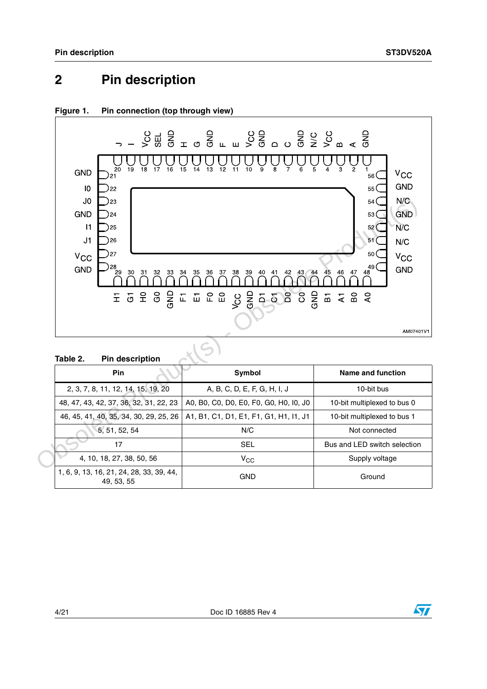### <span id="page-3-0"></span>**2 Pin description**



#### <span id="page-3-1"></span>**Figure 1. Pin connection (top through view)**

<span id="page-3-2"></span>

| <b>Pin</b>                                             | Symbol                                 | Name and function            |
|--------------------------------------------------------|----------------------------------------|------------------------------|
| 2, 3, 7, 8, 11, 12, 14, 15, 19, 20                     | A, B, C, D, E, F, G, H, I, J           | 10-bit bus                   |
| 48, 47, 43, 42, 37, 36, 32, 31, 22, 23                 | A0, B0, C0, D0, E0, F0, G0, H0, I0, J0 | 10-bit multiplexed to bus 0  |
| 46, 45, 41, 40, 35, 34, 30, 29, 25, 26                 | A1, B1, C1, D1, E1, F1, G1, H1, I1, J1 | 10-bit multiplexed to bus 1  |
| 5, 51, 52, 54                                          | N/C                                    | Not connected                |
| 17                                                     | <b>SEL</b>                             | Bus and LED switch selection |
| 4, 10, 18, 27, 38, 50, 56                              | $V_{CC}$                               | Supply voltage               |
| 1, 6, 9, 13, 16, 21, 24, 28, 33, 39, 44,<br>49, 53, 55 | GND                                    | Ground                       |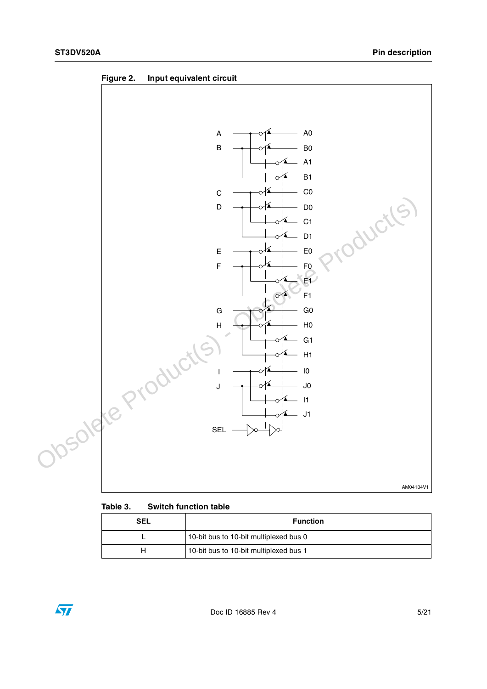<span id="page-4-0"></span>



#### **Table 3. Switch function table**

| SEL | <b>Function</b>                        |
|-----|----------------------------------------|
|     | 10-bit bus to 10-bit multiplexed bus 0 |
|     | 10-bit bus to 10-bit multiplexed bus 1 |

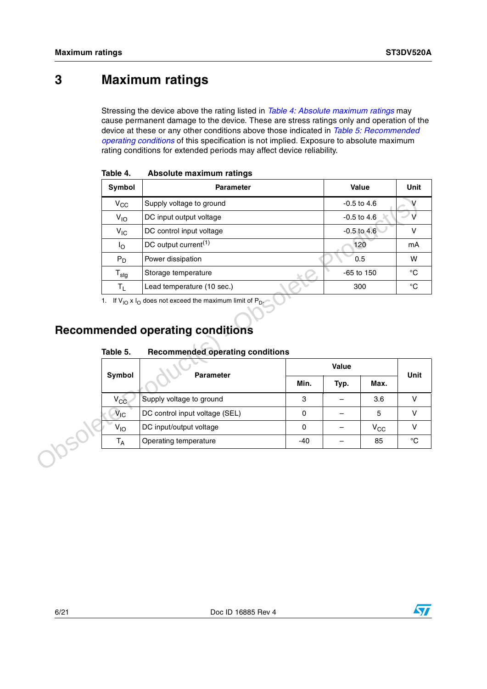## <span id="page-5-0"></span>**3 Maximum ratings**

Stressing the device above the rating listed in *[Table 4: Absolute maximum ratings](#page-5-2)* may cause permanent damage to the device. These are stress ratings only and operation of the device at these or any other conditions above those indicated in *[Table 5: Recommended](#page-5-3)  [operating conditions](#page-5-3)* of this specification is not implied. Exposure to absolute maximum rating conditions for extended periods may affect device reliability.

| Symbol              | <b>Parameter</b>                                                                                                                                                                          |             |       | Value           | Unit              |
|---------------------|-------------------------------------------------------------------------------------------------------------------------------------------------------------------------------------------|-------------|-------|-----------------|-------------------|
| $V_{\rm CC}$        | Supply voltage to ground                                                                                                                                                                  |             |       | $-0.5$ to 4.6   | V                 |
| $V_{10}$            | DC input output voltage                                                                                                                                                                   |             |       | $-0.5$ to $4.6$ | V                 |
| $V_{IC}$            | DC control input voltage                                                                                                                                                                  |             |       | $-0.5$ to $4.6$ | $\mathsf{V}$      |
| $I_{\rm O}$         | DC output current <sup>(1)</sup>                                                                                                                                                          |             |       | 120             | mA                |
| $P_D$               | Power dissipation                                                                                                                                                                         |             |       | 0.5             | W                 |
| $T_{\text{stg}}$    | Storage temperature                                                                                                                                                                       |             |       | -65 to 150      | $^{\circ}{\rm C}$ |
|                     |                                                                                                                                                                                           |             |       |                 |                   |
| $T_{L}$<br>Table 5. | Lead temperature (10 sec.)<br>1. If $V_{10}$ x $I_0$ does not exceed the maximum limit of $P_{D}$ .<br><b>Recommended operating conditions</b><br><b>Recommended operating conditions</b> |             |       | 300             | $^{\circ}{\rm C}$ |
|                     |                                                                                                                                                                                           |             | Value |                 |                   |
| Symbol              | <b>Parameter</b>                                                                                                                                                                          | Min.        | Typ.  | Max.            |                   |
| $V_{CC}$            | Supply voltage to ground                                                                                                                                                                  | 3           |       | 3.6             | Unit<br>V         |
| $V_{\text{IC}}$     | DC control input voltage (SEL)                                                                                                                                                            | $\mathbf 0$ |       | 5               | $\mathsf{V}$      |
| $V_{IO}$            | DC input/output voltage                                                                                                                                                                   | $\Omega$    |       | $V_{CC}$        | $\mathsf{V}$      |

<span id="page-5-2"></span>**Table 4. Absolute maximum ratings**

### <span id="page-5-1"></span>**Recommended operating conditions**

<span id="page-5-3"></span>

| Table 5. | <b>Recommended operating conditions</b> |  |  |
|----------|-----------------------------------------|--|--|
|          |                                         |  |  |

| Symbol          | <b>Parameter</b>               |       | Unit |              |    |
|-----------------|--------------------------------|-------|------|--------------|----|
|                 |                                | Min.  | Typ. | Max.         |    |
| $V_{CC}$        | Supply voltage to ground       | 3     |      | 3.6          |    |
| $V_{IC}$        | DC control input voltage (SEL) | 0     |      | 5            |    |
| V <sub>IO</sub> | DC input/output voltage        | 0     |      | $V_{\rm CC}$ |    |
| $T_A$           | Operating temperature          | $-40$ |      | 85           | °C |

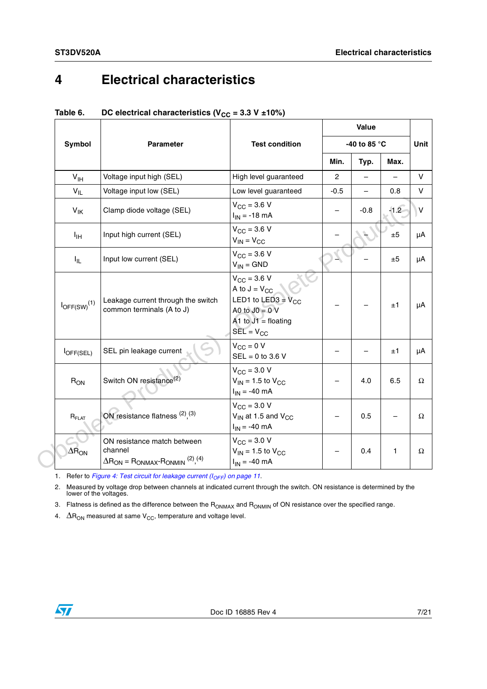## <span id="page-6-0"></span>**4 Electrical characteristics**

|                                           |                                                                                                                         |                                                                                                                                     |              | Value  |         |
|-------------------------------------------|-------------------------------------------------------------------------------------------------------------------------|-------------------------------------------------------------------------------------------------------------------------------------|--------------|--------|---------|
| Symbol                                    | <b>Parameter</b>                                                                                                        | <b>Test condition</b>                                                                                                               | -40 to 85 °C |        |         |
|                                           |                                                                                                                         |                                                                                                                                     | Min.         | Typ.   | Max.    |
| $V_{\text{IH}}$                           | Voltage input high (SEL)                                                                                                | High level guaranteed                                                                                                               | $\mathbf{2}$ |        |         |
| $V_{IL}$                                  | Voltage input low (SEL)                                                                                                 | Low level guaranteed                                                                                                                | -0.5         |        | 0.8     |
| $V_{\text{IK}}$                           | Clamp diode voltage (SEL)                                                                                               | $V_{CC} = 3.6 V$<br>$I_{IN} = -18$ mA                                                                                               |              | $-0.8$ | $-1.2$  |
| $I_{\text{IH}}$                           | Input high current (SEL)                                                                                                | $V_{CC} = 3.6 V$<br>$V_{IN} = V_{CC}$                                                                                               |              |        | $\pm 5$ |
| $I_{IL}$                                  | Input low current (SEL)                                                                                                 | $V_{CC} = 3.6 V$<br>$V_{IN} = GND$                                                                                                  |              |        | ±5      |
| $I_{OFF(SW)}^{(1)}$                       | Leakage current through the switch<br>common terminals (A to J)                                                         | $V_{\rm CC} = 3.6 V$<br>A to $J = V_{CC}$<br>LED1 to LED3 = $V_{CC}$<br>A0 to $JO = 0$ V<br>A1 to $J1 =$ floating<br>$SEL = V_{CC}$ |              |        | $\pm 1$ |
| l <sub>OFF(SEL)</sub>                     | SEL pin leakage current                                                                                                 | $V_{CC} = 0 V$<br>$SEL = 0$ to 3.6 V                                                                                                |              |        | ±1      |
| $R_{ON}$                                  | Switch ON resistance <sup>(2)</sup>                                                                                     | $V_{CC}$ = 3.0 V<br>$V_{IN}$ = 1.5 to $V_{CC}$<br>$I_{IN} = -40$ mA                                                                 |              | 4.0    | 6.5     |
| $R_{FLAT}$                                | ON resistance flatness $(2)$ , $(3)$                                                                                    | $V_{CC}$ = 3.0 V<br>$V_{IN}$ at 1.5 and $V_{CC}$<br>$I_{IN} = -40$ mA                                                               |              | 0.5    |         |
| $\Delta \tilde{\mathsf{R}}_{\mathsf{ON}}$ | ON resistance match between<br>channel<br>$\Delta R_{ON}$ = R <sub>ONMAX</sub> -R <sub>ONMIN</sub> (2) <sub>,</sub> (4) | $V_{CC}$ = 3.0 V<br>$V_{IN}$ = 1.5 to $V_{CC}$<br>$I_{IN} = -40$ mA                                                                 |              | 0.4    | 1       |

| Table 6. | DC electrical characteristics ( $V_{CC}$ = 3.3 V ±10%) |
|----------|--------------------------------------------------------|
|----------|--------------------------------------------------------|

2. Measured by voltage drop between channels at indicated current through the switch. ON resistance is determined by the lower of the voltages.

3. Flatness is defined as the difference between the  $R_{ONMAX}$  and  $R_{ONMIN}$  of ON resistance over the specified range.

4.  $\Delta R_{\text{ON}}$  measured at same  $V_{\text{CC}}$ , temperature and voltage level.

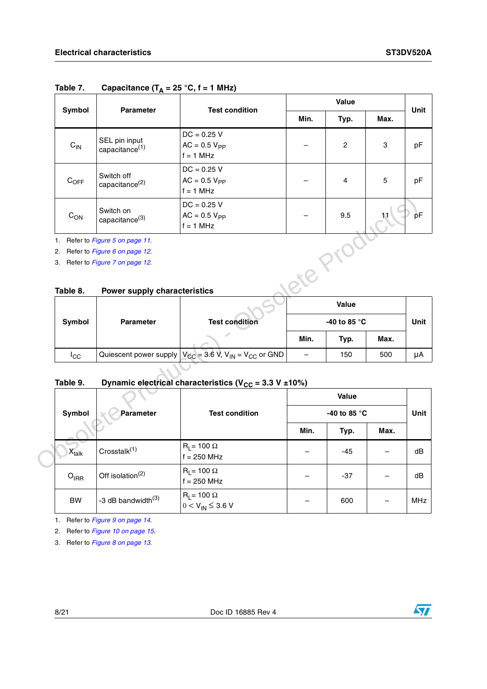| Symbol    | <b>Parameter</b>                            | <b>Test condition</b>                             |      | Unit           |            |    |
|-----------|---------------------------------------------|---------------------------------------------------|------|----------------|------------|----|
|           |                                             |                                                   | Min. | Typ.           | Max.       |    |
| $C_{IN}$  | SEL pin input<br>capacitance <sup>(1)</sup> | $DC = 0.25 V$<br>$AC = 0.5 VPP$<br>$f = 1$ MHz    |      | $\overline{2}$ | 3          | pF |
| $C_{OFF}$ | Switch off<br>capacitance <sup>(2)</sup>    | $DC = 0.25 V$<br>$AC = 0.5 VPP$<br>$f = 1$ MHz    |      | 4              | $\sqrt{5}$ | рF |
| $C_{ON}$  | Switch on<br>capacitance <sup>(3)</sup>     | $DC = 0.25 V$<br>$AC = 0.5 V_{PP}$<br>$f = 1$ MHz |      | 9.5            | 11         | pF |

### <span id="page-7-0"></span>Table 7. Capacitance  $(T_A = 25 \degree C, f = 1 \text{ MHz})$

#### **Table 8. Power supply characteristics**

|             |                  |                                                                                    |      | Value                  |      |      |
|-------------|------------------|------------------------------------------------------------------------------------|------|------------------------|------|------|
| Symbol      | <b>Parameter</b> | <b>Test condition</b>                                                              |      | -40 to 85 $^{\circ}$ C |      | Unit |
|             |                  |                                                                                    | Min. | Typ.                   | Max. |      |
| <b>I</b> CC |                  | Quiescent power supply $ V_{CC}$ = 3.6 V, V <sub>IN</sub> = V <sub>CC</sub> or GND | –    | 150                    | 500  | μΑ   |

### <span id="page-7-1"></span>Table 9. Dynamic electrical characteristics (V<sub>CC</sub> = 3.3 V ±10%)

| $C_{ON}$          | Switch on<br>capacitance <sup>(3)</sup> | $DC = 0.25 V$<br>$AC = 0.5 VPP$<br>$f = 1$ MHz                                    |                   | 9.5          |      |      |
|-------------------|-----------------------------------------|-----------------------------------------------------------------------------------|-------------------|--------------|------|------|
|                   | 1. Refer to Figure 5 on page 11.        |                                                                                   |                   |              |      |      |
|                   | 2. Refer to Figure 6 on page 12.        |                                                                                   |                   |              |      |      |
|                   | 3. Refer to Figure 7 on page 12.        |                                                                                   |                   |              |      |      |
|                   |                                         |                                                                                   |                   |              |      |      |
| Table 8.          | <b>Power supply characteristics</b>     |                                                                                   |                   |              |      |      |
|                   |                                         |                                                                                   |                   | Value        |      |      |
| Symbol            | Parameter                               | <b>Test condition</b>                                                             |                   | -40 to 85 °C |      | Unit |
|                   |                                         |                                                                                   | Min.              | Typ.         | Max. |      |
| $I_{\rm CC}$      |                                         | Quiescent power supply $V_{CC}$ = 3.6 V, V <sub>IN</sub> = V <sub>CC</sub> or GND | $\qquad \qquad -$ | 150          | 500  | μA   |
| Table 9.          |                                         | Dynamic electrical characteristics ( $V_{CC}$ = 3.3 V ±10%)                       |                   |              |      |      |
|                   |                                         |                                                                                   |                   |              |      |      |
|                   |                                         |                                                                                   |                   | Value        |      |      |
| Symbol            | Parameter                               | <b>Test condition</b>                                                             |                   | -40 to 85 °C |      | Unit |
|                   |                                         |                                                                                   | Min.              | Typ.         | Max. |      |
| $X_{\text{talk}}$ | Crosstalk <sup>(1)</sup>                | $R_L$ = 100 $\Omega$<br>$f = 250$ MHz                                             |                   | $-45$        |      | dB   |
| $O_{IRR}$         | Off isolation <sup>(2)</sup>            | $R_1 = 100 \Omega$<br>$f = 250$ MHz                                               |                   | $-37$        |      | dB   |

1. Refer to *[Figure 9 on page 14](#page-13-0)*.

2. Refer to *[Figure 10 on page 15](#page-14-0)*.

3. Refer to *[Figure 8 on page 13](#page-12-0)*.

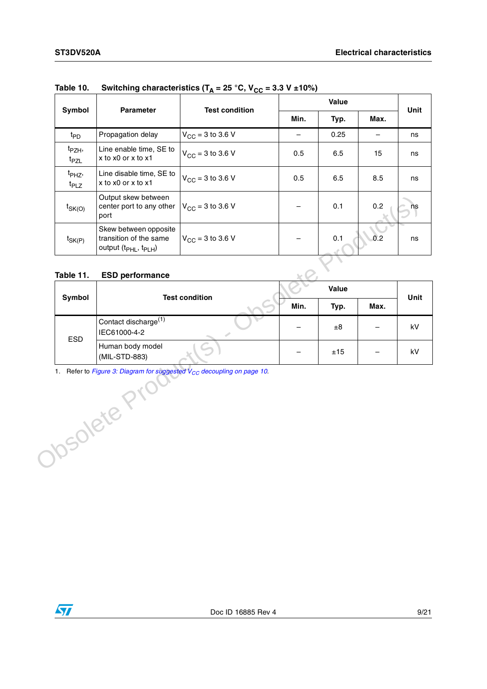| Symbol                                 | <b>Parameter</b>                                                                                 | <b>Test condition</b>        |      | Unit |      |    |
|----------------------------------------|--------------------------------------------------------------------------------------------------|------------------------------|------|------|------|----|
|                                        |                                                                                                  |                              | Min. | Typ. | Max. |    |
| t <sub>PD</sub>                        | Propagation delay                                                                                | $V_{\text{CC}}$ = 3 to 3.6 V |      | 0.25 |      | ns |
| t <sub>PZH</sub> ,<br>t <sub>PZL</sub> | Line enable time, SE to<br>x to x0 or x to x1                                                    | $V_{CC}$ = 3 to 3.6 V        | 0.5  | 6.5  | 15   | ns |
| t <sub>PHZ</sub> ,<br>$t_{PLZ}$        | Line disable time, SE to<br>x to x0 or x to x1                                                   | $V_{CC}$ = 3 to 3.6 V        | 0.5  | 6.5  | 8.5  | ns |
| $t_{SK(O)}$                            | Output skew between<br>center port to any other<br>port                                          | $V_{\text{CC}} = 3$ to 3.6 V |      | 0.1  | 0.2  | ns |
| $t_{SK(P)}$                            | Skew between opposite<br>transition of the same<br>output (t <sub>PHL</sub> , t <sub>PLH</sub> ) | $V_{\text{CC}} = 3$ to 3.6 V |      | 0.1  | 0.2  | ns |

### Table 10. Switching characteristics  $(T_A = 25 °C, V_{CC} = 3.3 V ± 10%)$

#### **Table 11. ESD performance**

| Symbol     | <b>Test condition</b>                                                                       | Value |      |      | Unit |
|------------|---------------------------------------------------------------------------------------------|-------|------|------|------|
|            |                                                                                             | Min.  | Typ. | Max. |      |
|            | Contact discharge <sup>(1)</sup><br>IEC61000-4-2                                            |       | ±8   |      | kV   |
| <b>ESD</b> | Human body model<br>(MIL-STD-883)                                                           |       | ±15  |      | kV   |
|            | Refer to Figure 3: Diagram for suggested V <sub>CC</sub> decoupling on page 10.<br>solete 1 |       |      |      |      |
|            |                                                                                             |       |      |      |      |

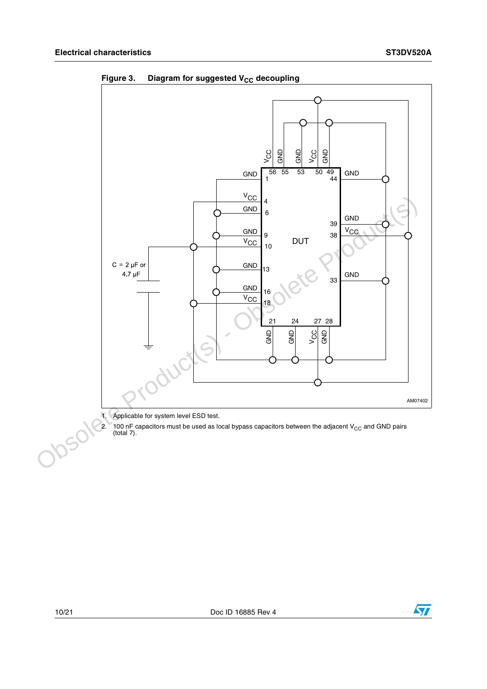

<span id="page-9-0"></span>**Figure 3.** Diagram for suggested V<sub>CC</sub> decoupling

1. Applicable for system level ESD test.<br>2. 100 nF capacitors must be used as lo

2. 100 nF capacitors must be used as local bypass capacitors between the adjacent V<sub>CC</sub> and GND pairs (total 7).

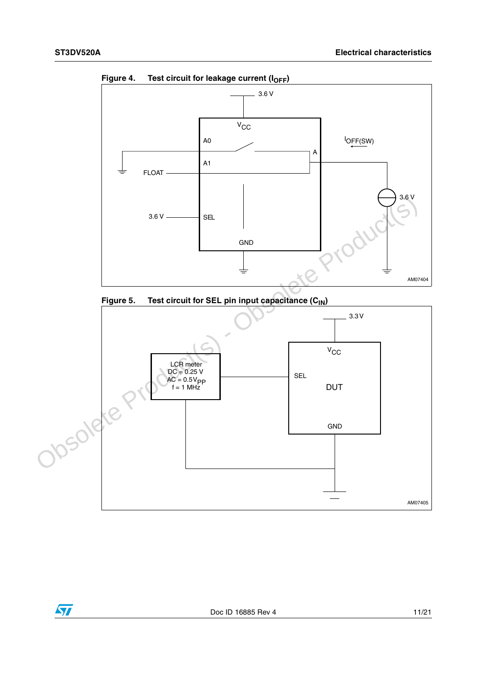$\sqrt{}$ 



<span id="page-10-0"></span>Figure 4. Test circuit for leakage current (I<sub>OFF</sub>)

<span id="page-10-1"></span>

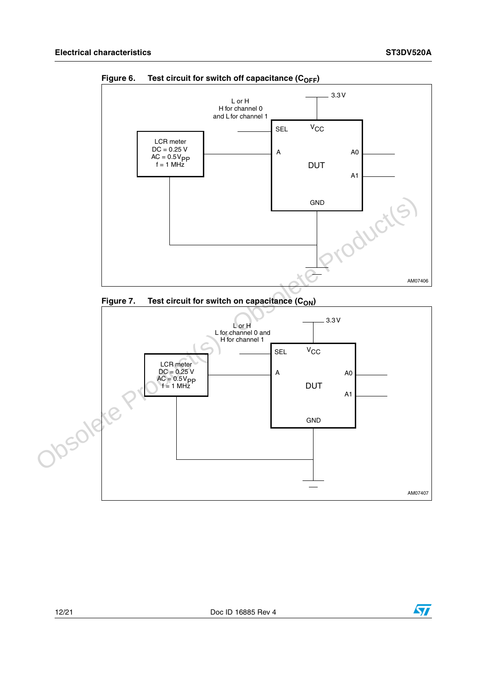

<span id="page-11-0"></span>Figure 6. Test circuit for switch off capacitance (C<sub>OFF</sub>)

<span id="page-11-1"></span>

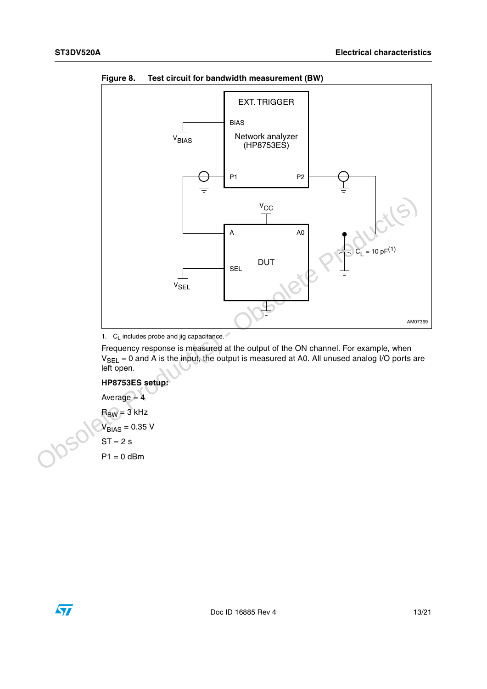

<span id="page-12-0"></span>**Figure 8. Test circuit for bandwidth measurement (BW)**

1.  $C_L$  includes probe and jig capacitance.

Frequency response is measured at the output of the ON channel. For example, when  $V_{SEL} = 0$  and A is the input, the output is measured at A0. All unused analog I/O ports are left open.

#### **HP8753ES setup:**

Average  $= 4$  $R_{BW} = 3$  kHz  $V_{BIAS} = 0.35 V$  $ST = 2 s$  $P1 = 0$  dBm

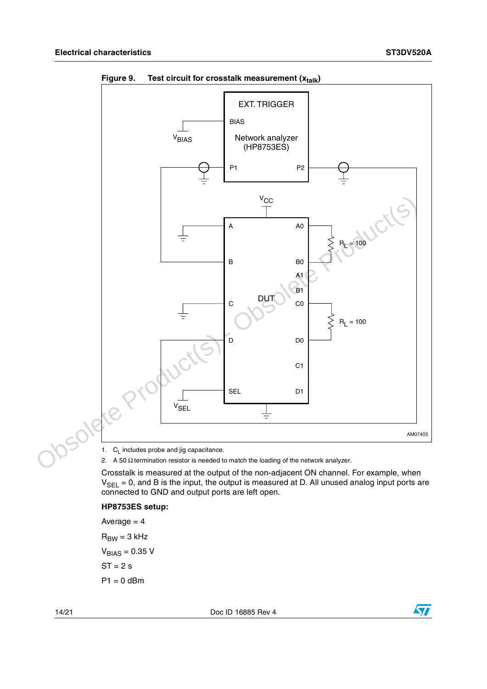

<span id="page-13-0"></span>Figure 9. Test circuit for crosstalk measurement (x<sub>talk</sub>)

2. A 50  $\Omega$  termination resistor is needed to match the loading of the network analyzer.

Crosstalk is measured at the output of the non-adjacent ON channel. For example, when  $V_{SEL} = 0$ , and B is the input, the output is measured at D. All unused analog input ports are connected to GND and output ports are left open.

#### **HP8753ES setup:**

Average  $= 4$  $R_{BW} = 3$  kHz  $V_{BIAS} = 0.35 V$  $ST = 2 s$  $P1 = 0$  dBm

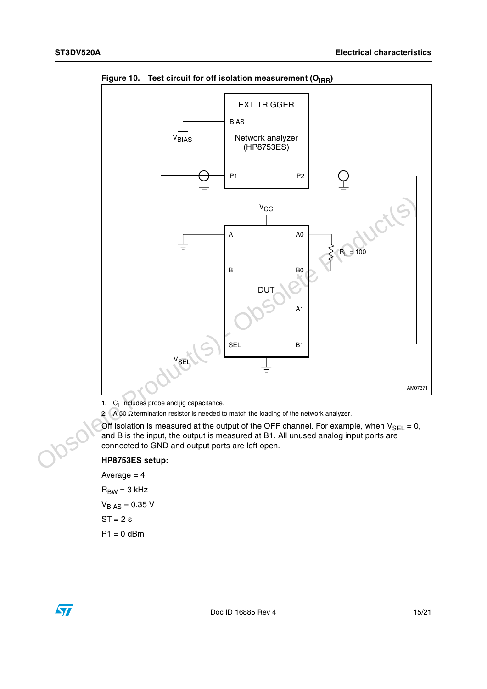

<span id="page-14-0"></span>Figure 10. Test circuit for off isolation measurement (O<sub>IRR</sub>)

1.  $C_L$  includes probe and jig capacitance.

2. A 50  $\Omega$  termination resistor is needed to match the loading of the network analyzer.

Off isolation is measured at the output of the OFF channel. For example, when  $V_{\text{SEL}} = 0$ , and B is the input, the output is measured at B1. All unused analog input ports are connected to GND and output ports are left open.

#### **HP8753ES setup:**

Average  $= 4$  $R_{BW} = 3$  kHz  $V_{BIAS} = 0.35 V$  $ST = 2 s$  $P1 = 0$  dBm

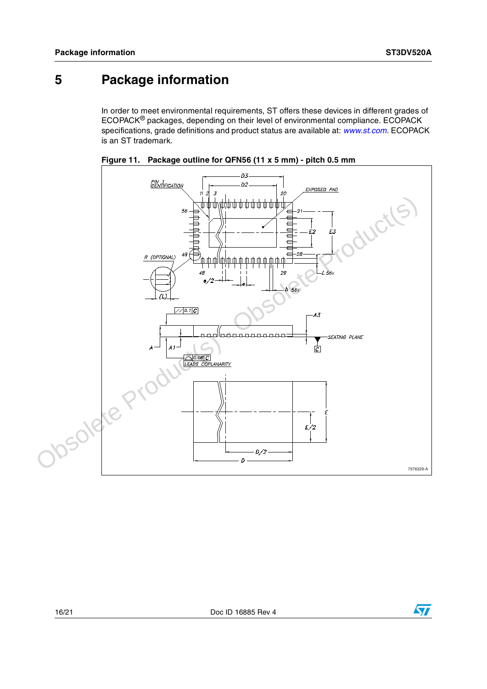### <span id="page-15-0"></span>**5 Package information**

In order to meet environmental requirements, ST offers these devices in different grades of ECOPACK® packages, depending on their level of environmental compliance. ECOPACK specifications, grade definitions and product status are available at: *[www.st.com](http://www.st.com)*. ECOPACK is an ST trademark.





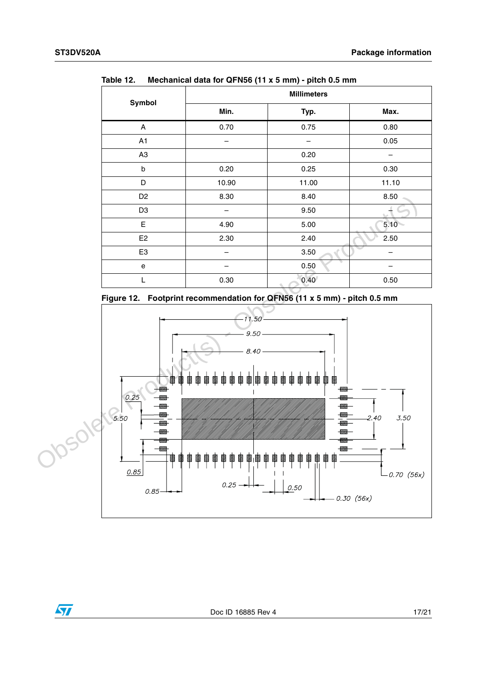| .<br>moutamour data for striked (iii Albertanii) priori 0.0 mm |           |          |  |  |  |
|----------------------------------------------------------------|-----------|----------|--|--|--|
| <b>Millimeters</b>                                             |           |          |  |  |  |
| Min.                                                           | Typ.      | Max.     |  |  |  |
| 0.70                                                           | 0.75      | 0.80     |  |  |  |
|                                                                |           | 0.05     |  |  |  |
|                                                                | 0.20      |          |  |  |  |
| 0.20                                                           | 0.25      | 0.30     |  |  |  |
| 10.90                                                          | 11.00     | 11.10    |  |  |  |
| 8.30                                                           | 8.40      | 8.50     |  |  |  |
|                                                                | 9.50      |          |  |  |  |
| 4.90                                                           | 5.00      | $5.10 -$ |  |  |  |
| 2.30                                                           | 2.40      | 2.50     |  |  |  |
|                                                                | 3.50      |          |  |  |  |
|                                                                | ÷<br>0.50 |          |  |  |  |
| 0.30                                                           | 0.40      | 0.50     |  |  |  |
|                                                                |           |          |  |  |  |

Table 12 **Table 12. Mechanical data for QFN56 (11 x 5 mm) - pitch 0.5 mm**



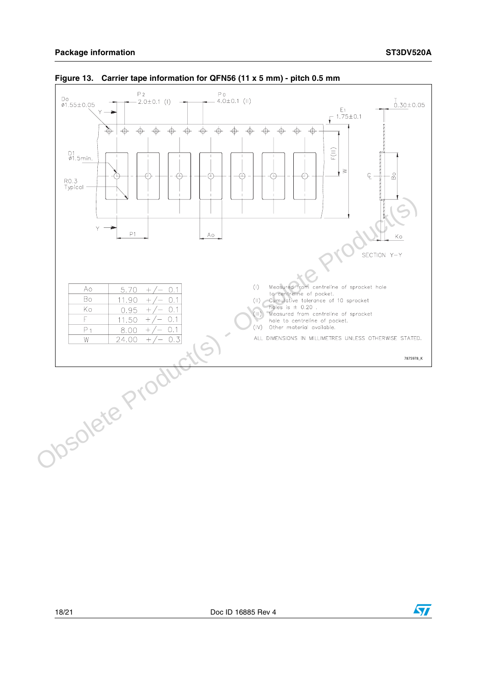

#### **Figure 13. Carrier tape information for QFN56 (11 x 5 mm) - pitch 0.5 mm**

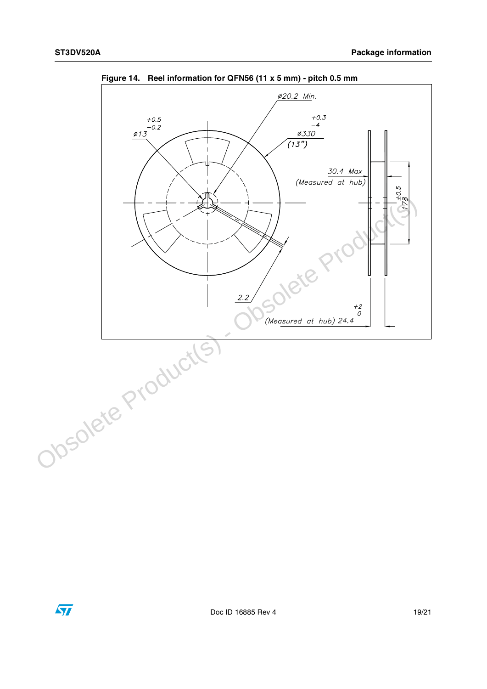

**Figure 14. Reel information for QFN56 (11 x 5 mm) - pitch 0.5 mm**

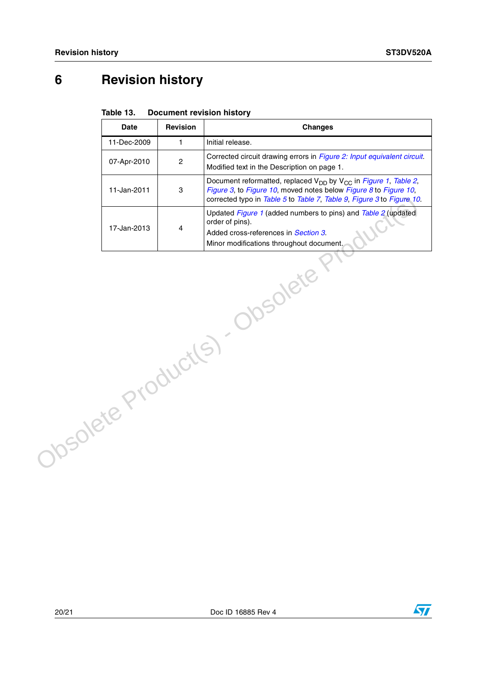# <span id="page-19-0"></span>**6 Revision history**

| Table 13. | <b>Document revision history</b> |  |
|-----------|----------------------------------|--|
|           |                                  |  |

|                     | <b>Date</b> | Revision         | <b>Changes</b>                                                                                                                                                                                                                       |
|---------------------|-------------|------------------|--------------------------------------------------------------------------------------------------------------------------------------------------------------------------------------------------------------------------------------|
|                     | 11-Dec-2009 | $\mathbf{1}$     | Initial release.                                                                                                                                                                                                                     |
|                     | 07-Apr-2010 | $\boldsymbol{2}$ | Corrected circuit drawing errors in Figure 2: Input equivalent circuit.<br>Modified text in the Description on page 1.                                                                                                               |
|                     | 11-Jan-2011 | 3                | Document reformatted, replaced V <sub>DD</sub> by V <sub>CC</sub> in Figure 1, Table 2,<br>Figure 3, to Figure 10, moved notes below Figure 8 to Figure 10,<br>corrected typo in Table 5 to Table 7, Table 9, Figure 3 to Figure 10. |
|                     | 17-Jan-2013 | $\overline{4}$   | Updated Figure 1 (added numbers to pins) and Table 2 (updated<br>order of pins).<br>Added cross-references in Section 3.<br>Minor modifications throughout document.                                                                 |
| Josolete Product(S) |             |                  | <b>JSOlete</b>                                                                                                                                                                                                                       |